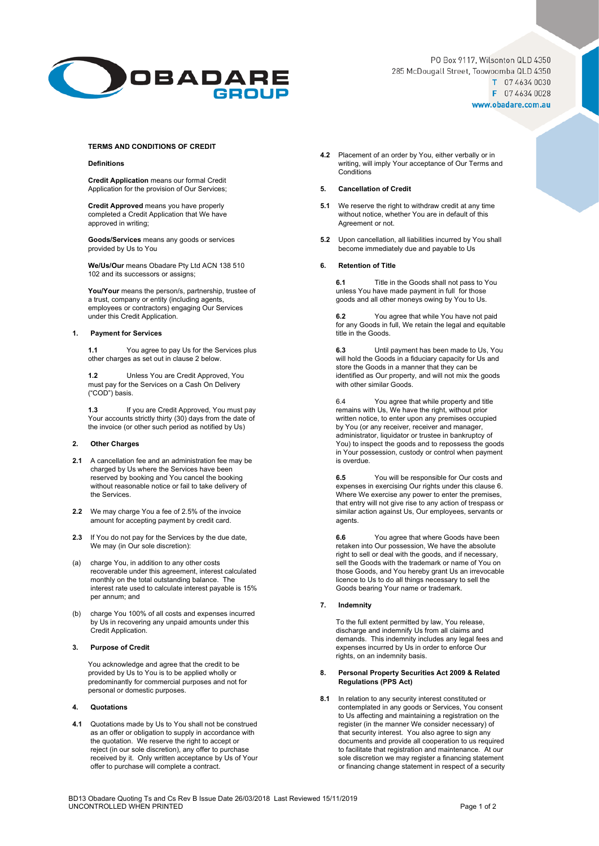

PO Box 9117, Wilsonton QLD 4350 285 McDougall Street, Toowoomba QLD 4350 T 07 4634 0030 F 07 4634 0028 www.obadare.com.au

### **TERMS AND CONDITIONS OF CREDIT**

#### **Definitions**

**Credit Application** means our formal Credit Application for the provision of Our Services;

**Credit Approved** means you have properly completed a Credit Application that We have approved in writing;

**Goods/Services** means any goods or services provided by Us to You

**We/Us/Our** means Obadare Pty Ltd ACN 138 510 102 and its successors or assigns;

**You/Your** means the person/s, partnership, trustee of a trust, company or entity (including agents, employees or contractors) engaging Our Services under this Credit Application.

## **1. Payment for Services**

**1.1** You agree to pay Us for the Services plus other charges as set out in clause 2 below.

**1.2** Unless You are Credit Approved, You must pay for the Services on a Cash On Delivery ("COD") basis.

**1.3** If you are Credit Approved, You must pay Your accounts strictly thirty (30) days from the date of the invoice (or other such period as notified by Us)

## **2. Other Charges**

- **2.1** A cancellation fee and an administration fee may be charged by Us where the Services have been reserved by booking and You cancel the booking without reasonable notice or fail to take delivery of the Services.
- **2.2** We may charge You a fee of 2.5% of the invoice amount for accepting payment by credit card.
- **2.3** If You do not pay for the Services by the due date, We may (in Our sole discretion):
- (a) charge You, in addition to any other costs recoverable under this agreement, interest calculated monthly on the total outstanding balance. The interest rate used to calculate interest payable is 15% per annum; and
- (b) charge You 100% of all costs and expenses incurred by Us in recovering any unpaid amounts under this Credit Application.

### **3. Purpose of Credit**

You acknowledge and agree that the credit to be provided by Us to You is to be applied wholly or predominantly for commercial purposes and not for personal or domestic purposes.

### **4. Quotations**

**4.1** Quotations made by Us to You shall not be construed as an offer or obligation to supply in accordance with the quotation. We reserve the right to accept or reject (in our sole discretion), any offer to purchase received by it. Only written acceptance by Us of Your offer to purchase will complete a contract.

**4.2** Placement of an order by You, either verbally or in writing, will imply Your acceptance of Our Terms and **Conditions** 

## **5. Cancellation of Credit**

- **5.1** We reserve the right to withdraw credit at any time without notice, whether You are in default of this Agreement or not.
- **5.2** Upon cancellation, all liabilities incurred by You shall become immediately due and payable to Us

## **6. Retention of Title**

**6.1** Title in the Goods shall not pass to You unless You have made payment in full for those goods and all other moneys owing by You to Us.

**6.2** You agree that while You have not paid for any Goods in full, We retain the legal and equitable title in the Goods.

**6.3** Until payment has been made to Us, You will hold the Goods in a fiduciary capacity for Us and store the Goods in a manner that they can be identified as Our property, and will not mix the goods with other similar Goods.

6.4 You agree that while property and title remains with Us, We have the right, without prior written notice, to enter upon any premises occupied by You (or any receiver, receiver and manager, administrator, liquidator or trustee in bankruptcy of You) to inspect the goods and to repossess the goods in Your possession, custody or control when payment is overdue.

**6.5** You will be responsible for Our costs and expenses in exercising Our rights under this clause 6. Where We exercise any power to enter the premises, that entry will not give rise to any action of trespass or similar action against Us, Our employees, servants or agents.

**6.6** You agree that where Goods have been retaken into Our possession, We have the absolute right to sell or deal with the goods, and if necessary, sell the Goods with the trademark or name of You on those Goods, and You hereby grant Us an irrevocable licence to Us to do all things necessary to sell the Goods bearing Your name or trademark.

### **7. Indemnity**

To the full extent permitted by law, You release, discharge and indemnify Us from all claims and demands. This indemnity includes any legal fees and expenses incurred by Us in order to enforce Our rights, on an indemnity basis.

#### **8. Personal Property Securities Act 2009 & Related Regulations (PPS Act)**

**8.1** In relation to any security interest constituted or contemplated in any goods or Services, You consent to Us affecting and maintaining a registration on the register (in the manner We consider necessary) of that security interest. You also agree to sign any documents and provide all cooperation to us required to facilitate that registration and maintenance. At our sole discretion we may register a financing statement or financing change statement in respect of a security